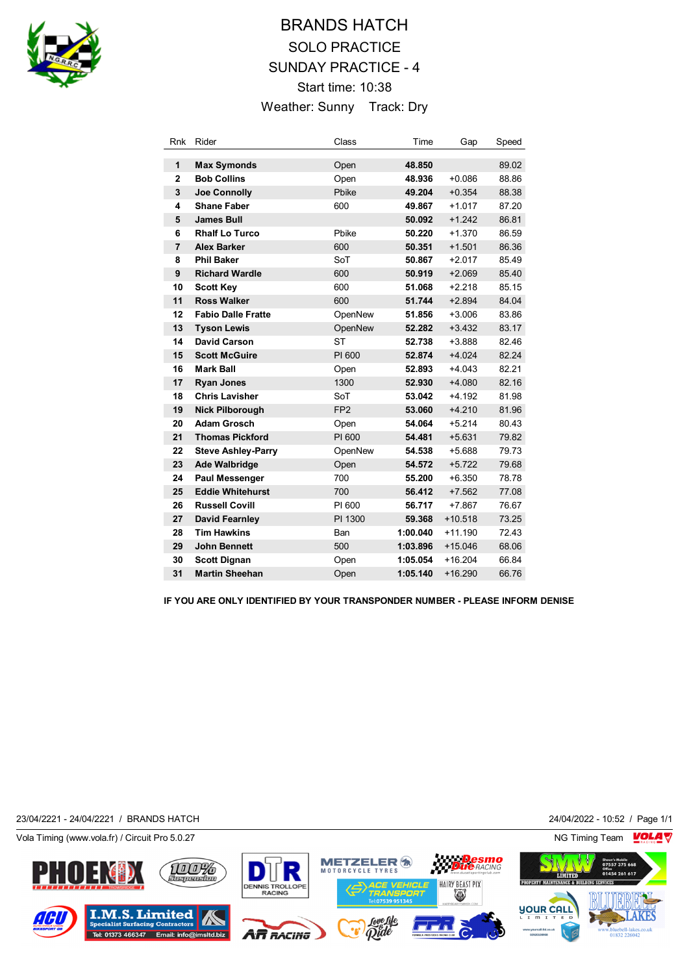

# BRANDS HATCH SOLO PRACTICE SUNDAY PRACTICE - 4 Start time: 10:38 Weather: Sunny Track: Dry

| Rnk            | Rider                     | Class           | Time     | Gap       | Speed |
|----------------|---------------------------|-----------------|----------|-----------|-------|
| 1              | <b>Max Symonds</b>        | Open            | 48.850   |           | 89.02 |
| $\overline{2}$ | <b>Bob Collins</b>        | Open            | 48.936   | $+0.086$  | 88.86 |
| 3              | <b>Joe Connolly</b>       | Pbike           | 49.204   | $+0.354$  | 88.38 |
| 4              | <b>Shane Faber</b>        | 600             | 49.867   | $+1.017$  | 87.20 |
| 5              | <b>James Bull</b>         |                 | 50.092   | $+1.242$  | 86.81 |
| 6              | <b>Rhalf Lo Turco</b>     | Pbike           | 50.220   | $+1.370$  | 86.59 |
| $\overline{7}$ | <b>Alex Barker</b>        | 600             | 50.351   | $+1.501$  | 86.36 |
| 8              | <b>Phil Baker</b>         | SoT             | 50.867   | $+2.017$  | 85.49 |
| 9              | <b>Richard Wardle</b>     | 600             | 50.919   | $+2.069$  | 85.40 |
| 10             | <b>Scott Key</b>          | 600             | 51.068   | $+2.218$  | 85.15 |
| 11             | <b>Ross Walker</b>        | 600             | 51.744   | $+2.894$  | 84.04 |
| 12             | <b>Fabio Dalle Fratte</b> | OpenNew         | 51.856   | $+3.006$  | 83.86 |
| 13             | <b>Tyson Lewis</b>        | OpenNew         | 52.282   | $+3.432$  | 83.17 |
| 14             | <b>David Carson</b>       | <b>ST</b>       | 52.738   | $+3.888$  | 82.46 |
| 15             | <b>Scott McGuire</b>      | PI 600          | 52.874   | $+4.024$  | 82.24 |
| 16             | <b>Mark Ball</b>          | Open            | 52.893   | $+4.043$  | 82.21 |
| 17             | <b>Ryan Jones</b>         | 1300            | 52.930   | $+4.080$  | 82.16 |
| 18             | <b>Chris Lavisher</b>     | SoT             | 53.042   | $+4.192$  | 81.98 |
| 19             | <b>Nick Pilborough</b>    | FP <sub>2</sub> | 53.060   | $+4.210$  | 81.96 |
| 20             | <b>Adam Grosch</b>        | Open            | 54.064   | $+5.214$  | 80.43 |
| 21             | <b>Thomas Pickford</b>    | PI 600          | 54.481   | $+5.631$  | 79.82 |
| 22             | <b>Steve Ashley-Parry</b> | OpenNew         | 54.538   | $+5.688$  | 79.73 |
| 23             | <b>Ade Walbridge</b>      | Open            | 54.572   | $+5.722$  | 79.68 |
| 24             | <b>Paul Messenger</b>     | 700             | 55.200   | $+6.350$  | 78.78 |
| 25             | <b>Eddie Whitehurst</b>   | 700             | 56.412   | $+7.562$  | 77.08 |
| 26             | <b>Russell Covill</b>     | PI 600          | 56.717   | $+7.867$  | 76.67 |
| 27             | <b>David Fearnley</b>     | PI 1300         | 59.368   | $+10.518$ | 73.25 |
| 28             | <b>Tim Hawkins</b>        | Ban             | 1:00.040 | $+11.190$ | 72.43 |
| 29             | <b>John Bennett</b>       | 500             | 1:03.896 | $+15.046$ | 68.06 |
| 30             | <b>Scott Dignan</b>       | Open            | 1:05.054 | $+16.204$ | 66.84 |
| 31             | <b>Martin Sheehan</b>     | Open            | 1:05.140 | $+16.290$ | 66.76 |

**IF YOU ARE ONLY IDENTIFIED BY YOUR TRANSPONDER NUMBER - PLEASE INFORM DENISE**

23/04/2221 - 24/04/2221 / BRANDS HATCH 24/04/2022 - 10:52 / Page 1/1

S

**Tel: 01373 466347** 

Þ





Vola Timing (www.vola.fr) / Circuit Pro 5.0.27 NG Timing Team NG Timing Team NG Timing Team NG Timing Team NG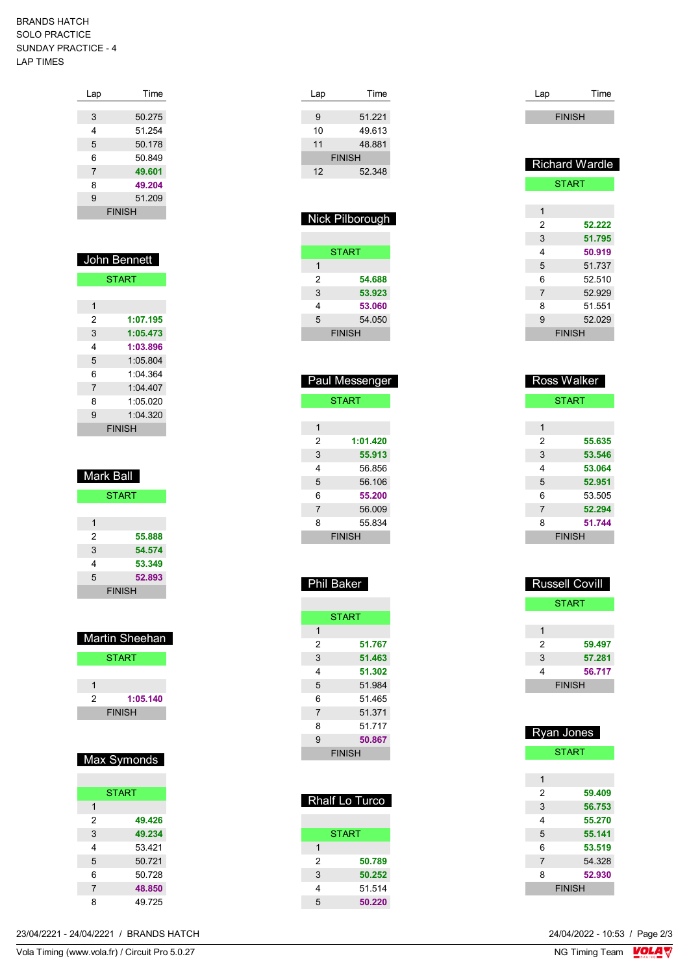#### BRANDS HATCH SOLO PRACTICE SUNDAY PRACTICE - 4 LAP TIMES

| Lap | Time          |
|-----|---------------|
|     |               |
| 3   | 50.275        |
| 4   | 51.254        |
| 5   | 50.178        |
| 6   | 50.849        |
| 7   | 49.601        |
| 8   | 49.204        |
| 9   | 51.209        |
|     | <b>FINISH</b> |
|     |               |

| John Bennett   |          |  |
|----------------|----------|--|
| <b>START</b>   |          |  |
|                |          |  |
| 1              |          |  |
| 2              | 1:07.195 |  |
| 3              | 1:05.473 |  |
| 4              | 1:03.896 |  |
| 5              | 1.05.804 |  |
| 6              | 1:04 364 |  |
| $\overline{7}$ | 1:04.407 |  |
| 8              | 1:05.020 |  |
| 9              | 1:04.320 |  |
|                | FINISH   |  |

| Mark Ball |               |  |
|-----------|---------------|--|
|           | <b>START</b>  |  |
|           |               |  |
| 1         |               |  |
| 2         | 55.888        |  |
| 3         | 54.574        |  |
| 4         | 53.349        |  |
| 5         | 52.893        |  |
|           | <b>FINISH</b> |  |

| Martin Sheehan |               |  |
|----------------|---------------|--|
|                | <b>START</b>  |  |
|                |               |  |
|                |               |  |
| 2              | 1:05.140      |  |
|                | <b>FINISH</b> |  |
|                |               |  |

# Max Symonds

|                | <b>START</b> |
|----------------|--------------|
| 1              |              |
| 2              | 49.426       |
| 3              | 49.234       |
| 4              | 53421        |
| 5              | 50.721       |
| 6              | 50.728       |
| $\overline{7}$ | 48.850       |
| 8              | 49725        |

| Time          |
|---------------|
|               |
| 51.221        |
| 49.613        |
| 48.881        |
| <b>FINISH</b> |
| 52.348        |
|               |

| Nick Pilborough |               |  |
|-----------------|---------------|--|
|                 |               |  |
|                 | <b>START</b>  |  |
| 1               |               |  |
| 2               | 54.688        |  |
| 3               | 53.923        |  |
| 4               | 53.060        |  |
| 5               | 54.050        |  |
|                 | <b>FINISH</b> |  |

| <b>Paul Messenger</b> |          |  |
|-----------------------|----------|--|
| <b>START</b>          |          |  |
|                       |          |  |
| 1                     |          |  |
| 2                     | 1:01.420 |  |
| 3                     | 55.913   |  |
| 4                     | 56.856   |  |
| 5                     | 56.106   |  |
| 6                     | 55.200   |  |
| 7                     | 56.009   |  |
| 8                     | 55 834   |  |
| <b>FINISH</b>         |          |  |

| iil Bak<br>-11 |  |
|----------------|--|

| <b>START</b>   |        |  |
|----------------|--------|--|
| 1              |        |  |
| 2              | 51.767 |  |
| 3              | 51.463 |  |
| 4              | 51.302 |  |
| 5              | 51.984 |  |
| 6              | 51 465 |  |
| $\overline{7}$ | 51.371 |  |
| 8              | 51.717 |  |
| 9              | 50.867 |  |
| <b>FINISH</b>  |        |  |

| <b>Rhalf Lo Turco</b> |              |  |
|-----------------------|--------------|--|
|                       | <b>START</b> |  |
| 1                     |              |  |
| 2                     | 50.789       |  |
| 3                     | 50.252       |  |
| 4                     | 51 514       |  |
| 5                     | 50.220       |  |

| Lap            | Time                  |  |  |
|----------------|-----------------------|--|--|
|                | <b>FINISH</b>         |  |  |
|                |                       |  |  |
|                |                       |  |  |
|                | <b>Richard Wardle</b> |  |  |
|                | <b>START</b>          |  |  |
|                |                       |  |  |
| 1              |                       |  |  |
| 2              | 52.222                |  |  |
| 3              | 51.795                |  |  |
| 4              | 50.919                |  |  |
| 5              | 51.737                |  |  |
| 6              | 52.510                |  |  |
| $\overline{7}$ | 52.929                |  |  |
| 8              | 51.551                |  |  |
| 9              | 52.029                |  |  |
|                | <b>FINISH</b>         |  |  |
|                |                       |  |  |
|                |                       |  |  |
| ٦<br>г         | Ш                     |  |  |

| <del>x</del> oss waiker |              |  |
|-------------------------|--------------|--|
|                         | <b>START</b> |  |
|                         |              |  |
| 1                       |              |  |
| 2                       | 55.635       |  |
| 3                       | 53.546       |  |
| 4                       | 53.064       |  |
| 5                       | 52.951       |  |
| 6                       | 53.505       |  |
| $\overline{7}$          | 52.294       |  |
| 8                       | 51.744       |  |
| <b>FINISH</b>           |              |  |

| <b>Russell Covill</b> |        |  |
|-----------------------|--------|--|
| START                 |        |  |
|                       |        |  |
|                       |        |  |
| 2                     | 59.497 |  |
| 3                     | 57.281 |  |
| 4                     | 56.717 |  |
| <b>FINISH</b>         |        |  |

| <b>Ryan Jones</b> |              |  |
|-------------------|--------------|--|
|                   | <b>START</b> |  |
|                   |              |  |
| 1                 |              |  |
| 2                 | 59.409       |  |
| 3                 | 56.753       |  |
| 4                 | 55.270       |  |
| 5                 | 55.141       |  |
| 6                 | 53.519       |  |
| 7                 | 54.328       |  |
| 8                 | 52.930       |  |
| <b>FINISH</b>     |              |  |

23/04/2221 - 24/04/2221 / BRANDS HATCH